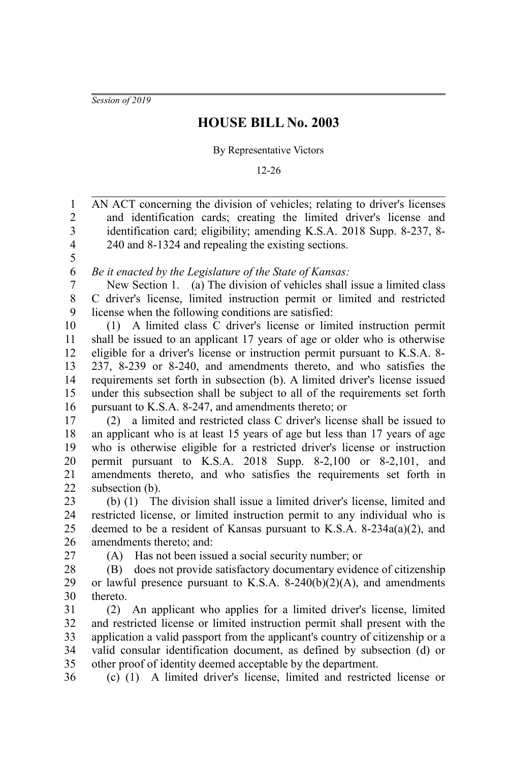*Session of 2019*

## **HOUSE BILL No. 2003**

## By Representative Victors

12-26

AN ACT concerning the division of vehicles; relating to driver's licenses and identification cards; creating the limited driver's license and identification card; eligibility; amending K.S.A. 2018 Supp. 8-237, 8- 240 and 8-1324 and repealing the existing sections. *Be it enacted by the Legislature of the State of Kansas:* New Section 1. (a) The division of vehicles shall issue a limited class C driver's license, limited instruction permit or limited and restricted license when the following conditions are satisfied: (1) A limited class C driver's license or limited instruction permit shall be issued to an applicant 17 years of age or older who is otherwise eligible for a driver's license or instruction permit pursuant to K.S.A. 8- 237, 8-239 or 8-240, and amendments thereto, and who satisfies the requirements set forth in subsection (b). A limited driver's license issued under this subsection shall be subject to all of the requirements set forth pursuant to K.S.A. 8-247, and amendments thereto; or (2) a limited and restricted class C driver's license shall be issued to an applicant who is at least 15 years of age but less than 17 years of age who is otherwise eligible for a restricted driver's license or instruction permit pursuant to K.S.A. 2018 Supp. 8-2,100 or 8-2,101, and amendments thereto, and who satisfies the requirements set forth in subsection (b). (b) (1) The division shall issue a limited driver's license, limited and restricted license, or limited instruction permit to any individual who is deemed to be a resident of Kansas pursuant to K.S.A. 8-234a(a)(2), and amendments thereto; and: (A) Has not been issued a social security number; or (B) does not provide satisfactory documentary evidence of citizenship or lawful presence pursuant to K.S.A.  $8-240(b)(2)(A)$ , and amendments thereto. (2) An applicant who applies for a limited driver's license, limited and restricted license or limited instruction permit shall present with the application a valid passport from the applicant's country of citizenship or a valid consular identification document, as defined by subsection (d) or other proof of identity deemed acceptable by the department. (c) (1) A limited driver's license, limited and restricted license or 1 2 3 4 5 6 7 8 9 10 11 12 13 14 15 16 17 18 19 20 21 22 23 24 25 26 27 28 29 30 31 32 33 34 35 36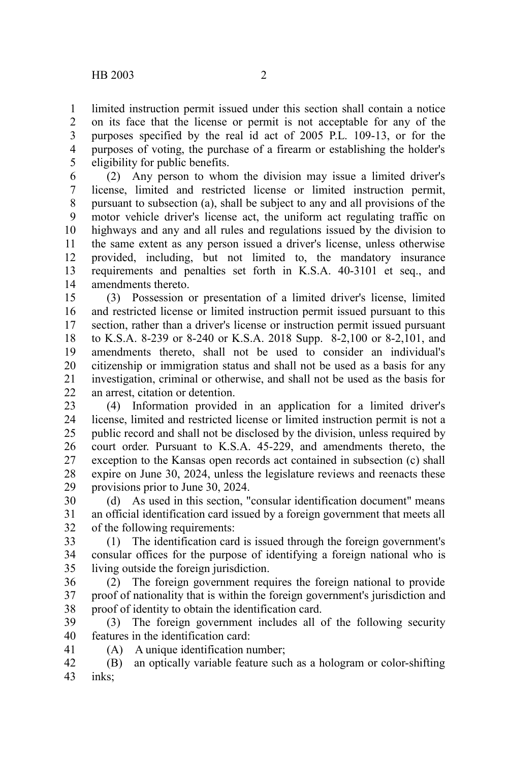limited instruction permit issued under this section shall contain a notice on its face that the license or permit is not acceptable for any of the purposes specified by the real id act of 2005 P.L. 109-13, or for the purposes of voting, the purchase of a firearm or establishing the holder's eligibility for public benefits. 1 2 3 4 5

(2) Any person to whom the division may issue a limited driver's license, limited and restricted license or limited instruction permit, pursuant to subsection (a), shall be subject to any and all provisions of the motor vehicle driver's license act, the uniform act regulating traffic on highways and any and all rules and regulations issued by the division to the same extent as any person issued a driver's license, unless otherwise provided, including, but not limited to, the mandatory insurance requirements and penalties set forth in K.S.A. 40-3101 et seq., and amendments thereto. 6 7 8 9 10 11 12 13 14

(3) Possession or presentation of a limited driver's license, limited and restricted license or limited instruction permit issued pursuant to this section, rather than a driver's license or instruction permit issued pursuant to K.S.A. 8-239 or 8-240 or K.S.A. 2018 Supp. 8-2,100 or 8-2,101, and amendments thereto, shall not be used to consider an individual's citizenship or immigration status and shall not be used as a basis for any investigation, criminal or otherwise, and shall not be used as the basis for an arrest, citation or detention. 15 16 17 18 19 20 21 22

(4) Information provided in an application for a limited driver's license, limited and restricted license or limited instruction permit is not a public record and shall not be disclosed by the division, unless required by court order. Pursuant to K.S.A. 45-229, and amendments thereto, the exception to the Kansas open records act contained in subsection (c) shall expire on June 30, 2024, unless the legislature reviews and reenacts these provisions prior to June 30, 2024. 23 24 25 26 27 28 29

(d) As used in this section, "consular identification document" means an official identification card issued by a foreign government that meets all of the following requirements: 30 31 32

(1) The identification card is issued through the foreign government's consular offices for the purpose of identifying a foreign national who is living outside the foreign jurisdiction. 33 34 35

(2) The foreign government requires the foreign national to provide proof of nationality that is within the foreign government's jurisdiction and proof of identity to obtain the identification card. 36 37 38

(3) The foreign government includes all of the following security features in the identification card: 39 40

- 41
- (A) A unique identification number;
- (B) an optically variable feature such as a hologram or color-shifting inks; 42 43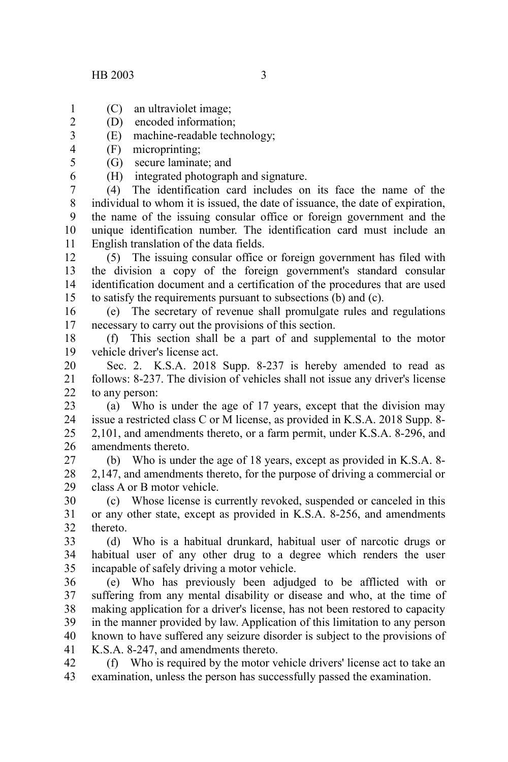6

- 
- (C) an ultraviolet image; 1
- (D) encoded information; 2
- (E) machine-readable technology; 3
- (F) microprinting; 4 5
	- (G) secure laminate; and
		- (H) integrated photograph and signature.

(4) The identification card includes on its face the name of the individual to whom it is issued, the date of issuance, the date of expiration, the name of the issuing consular office or foreign government and the unique identification number. The identification card must include an English translation of the data fields. 7 8 9 10 11

(5) The issuing consular office or foreign government has filed with the division a copy of the foreign government's standard consular identification document and a certification of the procedures that are used to satisfy the requirements pursuant to subsections (b) and (c). 12 13 14 15

(e) The secretary of revenue shall promulgate rules and regulations necessary to carry out the provisions of this section. 16 17

(f) This section shall be a part of and supplemental to the motor vehicle driver's license act. 18 19

Sec. 2. K.S.A. 2018 Supp. 8-237 is hereby amended to read as follows: 8-237. The division of vehicles shall not issue any driver's license to any person: 20 21 22

(a) Who is under the age of 17 years, except that the division may issue a restricted class C or M license, as provided in K.S.A. 2018 Supp. 8- 2,101, and amendments thereto, or a farm permit, under K.S.A. 8-296, and amendments thereto. 23 24 25 26

(b) Who is under the age of 18 years, except as provided in K.S.A. 8- 2,147, and amendments thereto, for the purpose of driving a commercial or class A or B motor vehicle. 27 28 29

(c) Whose license is currently revoked, suspended or canceled in this or any other state, except as provided in K.S.A. 8-256, and amendments thereto. 30 31 32

(d) Who is a habitual drunkard, habitual user of narcotic drugs or habitual user of any other drug to a degree which renders the user incapable of safely driving a motor vehicle. 33 34 35

(e) Who has previously been adjudged to be afflicted with or suffering from any mental disability or disease and who, at the time of making application for a driver's license, has not been restored to capacity in the manner provided by law. Application of this limitation to any person known to have suffered any seizure disorder is subject to the provisions of K.S.A. 8-247, and amendments thereto. 36 37 38 39 40 41

(f) Who is required by the motor vehicle drivers' license act to take an examination, unless the person has successfully passed the examination. 42 43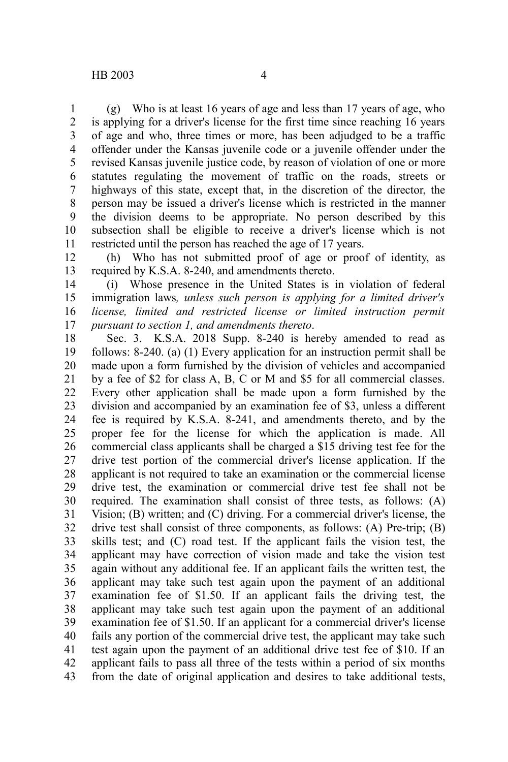(g) Who is at least 16 years of age and less than 17 years of age, who is applying for a driver's license for the first time since reaching 16 years of age and who, three times or more, has been adjudged to be a traffic offender under the Kansas juvenile code or a juvenile offender under the revised Kansas juvenile justice code, by reason of violation of one or more statutes regulating the movement of traffic on the roads, streets or highways of this state, except that, in the discretion of the director, the person may be issued a driver's license which is restricted in the manner the division deems to be appropriate. No person described by this subsection shall be eligible to receive a driver's license which is not restricted until the person has reached the age of 17 years. 1 2 3 4 5 6 7 8 9 10 11

(h) Who has not submitted proof of age or proof of identity, as required by K.S.A. 8-240, and amendments thereto. 12 13

(i) Whose presence in the United States is in violation of federal immigration laws*, unless such person is applying for a limited driver's license, limited and restricted license or limited instruction permit pursuant to section 1, and amendments thereto*. 14 15 16 17

Sec. 3. K.S.A. 2018 Supp. 8-240 is hereby amended to read as follows: 8-240. (a) (1) Every application for an instruction permit shall be made upon a form furnished by the division of vehicles and accompanied by a fee of \$2 for class A, B, C or M and \$5 for all commercial classes. Every other application shall be made upon a form furnished by the division and accompanied by an examination fee of \$3, unless a different fee is required by K.S.A. 8-241, and amendments thereto, and by the proper fee for the license for which the application is made. All commercial class applicants shall be charged a \$15 driving test fee for the drive test portion of the commercial driver's license application. If the applicant is not required to take an examination or the commercial license drive test, the examination or commercial drive test fee shall not be required. The examination shall consist of three tests, as follows: (A) Vision; (B) written; and (C) driving. For a commercial driver's license, the drive test shall consist of three components, as follows: (A) Pre-trip; (B) skills test; and (C) road test. If the applicant fails the vision test, the applicant may have correction of vision made and take the vision test again without any additional fee. If an applicant fails the written test, the applicant may take such test again upon the payment of an additional examination fee of \$1.50. If an applicant fails the driving test, the applicant may take such test again upon the payment of an additional examination fee of \$1.50. If an applicant for a commercial driver's license fails any portion of the commercial drive test, the applicant may take such test again upon the payment of an additional drive test fee of \$10. If an applicant fails to pass all three of the tests within a period of six months from the date of original application and desires to take additional tests, 18 19 20 21 22 23 24 25 26 27 28 29 30 31 32 33 34 35 36 37 38 39 40 41 42 43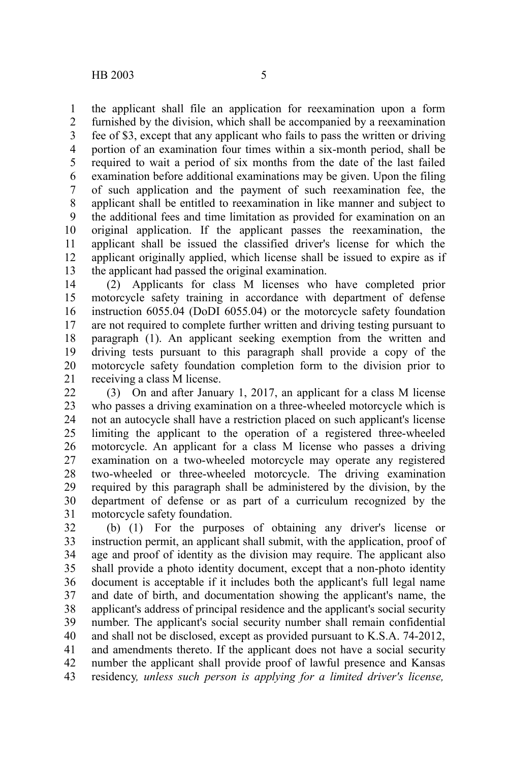the applicant shall file an application for reexamination upon a form furnished by the division, which shall be accompanied by a reexamination fee of \$3, except that any applicant who fails to pass the written or driving portion of an examination four times within a six-month period, shall be required to wait a period of six months from the date of the last failed examination before additional examinations may be given. Upon the filing of such application and the payment of such reexamination fee, the applicant shall be entitled to reexamination in like manner and subject to the additional fees and time limitation as provided for examination on an original application. If the applicant passes the reexamination, the applicant shall be issued the classified driver's license for which the applicant originally applied, which license shall be issued to expire as if the applicant had passed the original examination. 1 2 3 4 5 6 7 8 9 10 11 12 13

(2) Applicants for class M licenses who have completed prior motorcycle safety training in accordance with department of defense instruction 6055.04 (DoDI 6055.04) or the motorcycle safety foundation are not required to complete further written and driving testing pursuant to paragraph (1). An applicant seeking exemption from the written and driving tests pursuant to this paragraph shall provide a copy of the motorcycle safety foundation completion form to the division prior to receiving a class M license. 14 15 16 17 18 19 20 21

(3) On and after January 1, 2017, an applicant for a class M license who passes a driving examination on a three-wheeled motorcycle which is not an autocycle shall have a restriction placed on such applicant's license limiting the applicant to the operation of a registered three-wheeled motorcycle. An applicant for a class M license who passes a driving examination on a two-wheeled motorcycle may operate any registered two-wheeled or three-wheeled motorcycle. The driving examination required by this paragraph shall be administered by the division, by the department of defense or as part of a curriculum recognized by the motorcycle safety foundation. 22 23 24 25 26 27 28 29 30 31

(b) (1) For the purposes of obtaining any driver's license or instruction permit, an applicant shall submit, with the application, proof of age and proof of identity as the division may require. The applicant also shall provide a photo identity document, except that a non-photo identity document is acceptable if it includes both the applicant's full legal name and date of birth, and documentation showing the applicant's name, the applicant's address of principal residence and the applicant's social security number. The applicant's social security number shall remain confidential and shall not be disclosed, except as provided pursuant to K.S.A. 74-2012, and amendments thereto. If the applicant does not have a social security number the applicant shall provide proof of lawful presence and Kansas residency*, unless such person is applying for a limited driver's license,* 32 33 34 35 36 37 38 39 40 41 42 43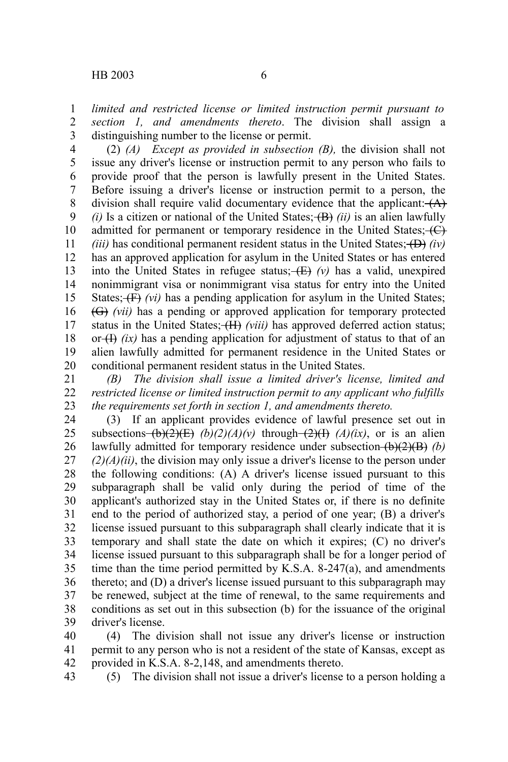*limited and restricted license or limited instruction permit pursuant to section 1, and amendments thereto*. The division shall assign a distinguishing number to the license or permit. 1 2 3

(2) *(A) Except as provided in subsection (B),* the division shall not issue any driver's license or instruction permit to any person who fails to provide proof that the person is lawfully present in the United States. Before issuing a driver's license or instruction permit to a person, the division shall require valid documentary evidence that the applicant:  $(A)$  $(i)$  Is a citizen or national of the United States;  $(B)$  *(ii)* is an alien lawfully admitted for permanent or temporary residence in the United States;  $\leftarrow$ *(iii)* has conditional permanent resident status in the United States;  $(D)$  *(iv)* has an approved application for asylum in the United States or has entered into the United States in refugee status;  $(E)$  (v) has a valid, unexpired nonimmigrant visa or nonimmigrant visa status for entry into the United States; (F) *(vi)* has a pending application for asylum in the United States; (G) *(vii)* has a pending or approved application for temporary protected status in the United States;  $(H)$  *(viii)* has approved deferred action status; or  $(H)$  *(ix)* has a pending application for adjustment of status to that of an alien lawfully admitted for permanent residence in the United States or conditional permanent resident status in the United States. 4 5 6 7 8 9 10 11 12 13 14 15 16 17 18 19 20

*(B) The division shall issue a limited driver's license, limited and restricted license or limited instruction permit to any applicant who fulfills the requirements set forth in section 1, and amendments thereto.* 21 22 23

(3) If an applicant provides evidence of lawful presence set out in subsections  $(b)(2)(E)$  (b)(2)(A)(v) through  $(2)(H)$  (A)(ix), or is an alien lawfully admitted for temporary residence under subsection  $(b)(2)(B)$  *(b)*  $(2)(A)(ii)$ , the division may only issue a driver's license to the person under the following conditions: (A) A driver's license issued pursuant to this subparagraph shall be valid only during the period of time of the applicant's authorized stay in the United States or, if there is no definite end to the period of authorized stay, a period of one year; (B) a driver's license issued pursuant to this subparagraph shall clearly indicate that it is temporary and shall state the date on which it expires; (C) no driver's license issued pursuant to this subparagraph shall be for a longer period of time than the time period permitted by K.S.A. 8-247(a), and amendments thereto; and (D) a driver's license issued pursuant to this subparagraph may be renewed, subject at the time of renewal, to the same requirements and conditions as set out in this subsection (b) for the issuance of the original driver's license. 24 25 26 27 28 29 30 31 32 33 34 35 36 37 38 39

(4) The division shall not issue any driver's license or instruction permit to any person who is not a resident of the state of Kansas, except as provided in K.S.A. 8-2,148, and amendments thereto. 40 41 42

43

(5) The division shall not issue a driver's license to a person holding a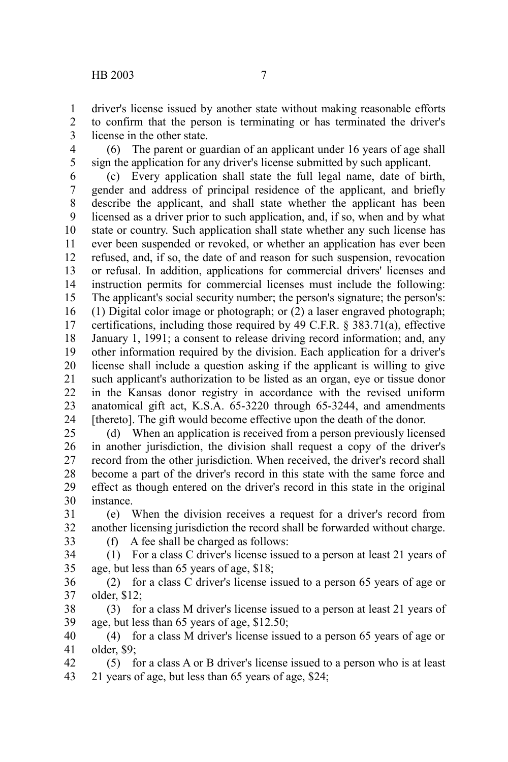driver's license issued by another state without making reasonable efforts to confirm that the person is terminating or has terminated the driver's license in the other state. 1 2 3

(6) The parent or guardian of an applicant under 16 years of age shall sign the application for any driver's license submitted by such applicant. 4 5

(c) Every application shall state the full legal name, date of birth, gender and address of principal residence of the applicant, and briefly describe the applicant, and shall state whether the applicant has been licensed as a driver prior to such application, and, if so, when and by what state or country. Such application shall state whether any such license has ever been suspended or revoked, or whether an application has ever been refused, and, if so, the date of and reason for such suspension, revocation or refusal. In addition, applications for commercial drivers' licenses and instruction permits for commercial licenses must include the following: The applicant's social security number; the person's signature; the person's: (1) Digital color image or photograph; or (2) a laser engraved photograph; certifications, including those required by 49 C.F.R. § 383.71(a), effective January 1, 1991; a consent to release driving record information; and, any other information required by the division. Each application for a driver's license shall include a question asking if the applicant is willing to give such applicant's authorization to be listed as an organ, eye or tissue donor in the Kansas donor registry in accordance with the revised uniform anatomical gift act, K.S.A. 65-3220 through 65-3244, and amendments [thereto]. The gift would become effective upon the death of the donor. 6 7 8 9 10 11 12 13 14 15 16 17 18 19 20 21 22 23 24

(d) When an application is received from a person previously licensed in another jurisdiction, the division shall request a copy of the driver's record from the other jurisdiction. When received, the driver's record shall become a part of the driver's record in this state with the same force and effect as though entered on the driver's record in this state in the original instance. 25 26 27 28 29 30

(e) When the division receives a request for a driver's record from another licensing jurisdiction the record shall be forwarded without charge. 31 32

33

(f) A fee shall be charged as follows:

(1) For a class C driver's license issued to a person at least 21 years of age, but less than 65 years of age, \$18; 34 35

(2) for a class C driver's license issued to a person 65 years of age or older, \$12; 36 37

(3) for a class M driver's license issued to a person at least 21 years of age, but less than 65 years of age, \$12.50; 38 39

(4) for a class M driver's license issued to a person 65 years of age or older, \$9; 40 41

(5) for a class A or B driver's license issued to a person who is at least 21 years of age, but less than 65 years of age, \$24; 42 43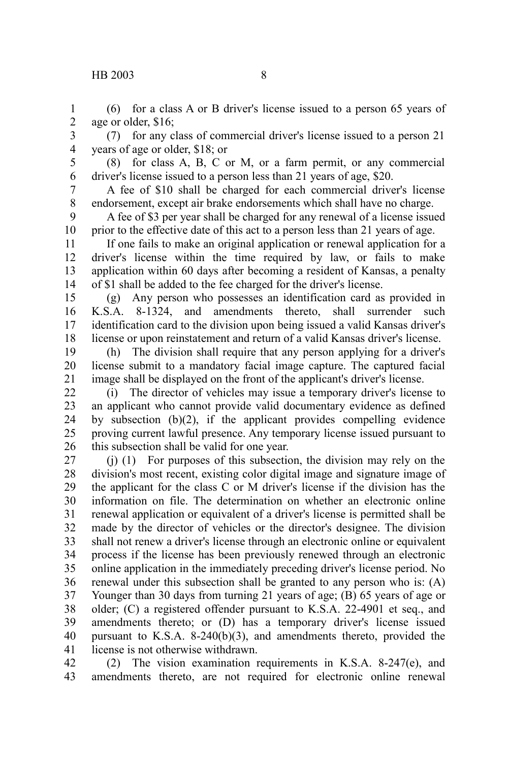## HB 2003 8

(6) for a class A or B driver's license issued to a person 65 years of age or older, \$16; 1 2

(7) for any class of commercial driver's license issued to a person 21 years of age or older, \$18; or 3 4

5 6

(8) for class A, B, C or M, or a farm permit, or any commercial driver's license issued to a person less than 21 years of age, \$20.

A fee of \$10 shall be charged for each commercial driver's license endorsement, except air brake endorsements which shall have no charge. 7 8

A fee of \$3 per year shall be charged for any renewal of a license issued prior to the effective date of this act to a person less than 21 years of age. 9 10

If one fails to make an original application or renewal application for a driver's license within the time required by law, or fails to make application within 60 days after becoming a resident of Kansas, a penalty of \$1 shall be added to the fee charged for the driver's license. 11 12 13 14

(g) Any person who possesses an identification card as provided in K.S.A. 8-1324, and amendments thereto, shall surrender such identification card to the division upon being issued a valid Kansas driver's license or upon reinstatement and return of a valid Kansas driver's license. 15 16 17 18

(h) The division shall require that any person applying for a driver's license submit to a mandatory facial image capture. The captured facial image shall be displayed on the front of the applicant's driver's license. 19 20 21

(i) The director of vehicles may issue a temporary driver's license to an applicant who cannot provide valid documentary evidence as defined by subsection (b)(2), if the applicant provides compelling evidence proving current lawful presence. Any temporary license issued pursuant to this subsection shall be valid for one year. 22 23 24 25 26

(j) (1) For purposes of this subsection, the division may rely on the division's most recent, existing color digital image and signature image of the applicant for the class C or M driver's license if the division has the information on file. The determination on whether an electronic online renewal application or equivalent of a driver's license is permitted shall be made by the director of vehicles or the director's designee. The division shall not renew a driver's license through an electronic online or equivalent process if the license has been previously renewed through an electronic online application in the immediately preceding driver's license period. No renewal under this subsection shall be granted to any person who is: (A) Younger than 30 days from turning 21 years of age; (B) 65 years of age or older; (C) a registered offender pursuant to K.S.A. 22-4901 et seq., and amendments thereto; or (D) has a temporary driver's license issued pursuant to K.S.A. 8-240(b)(3), and amendments thereto, provided the license is not otherwise withdrawn. 27 28 29 30 31 32 33 34 35 36 37 38 39 40 41

(2) The vision examination requirements in K.S.A. 8-247(e), and amendments thereto, are not required for electronic online renewal 42 43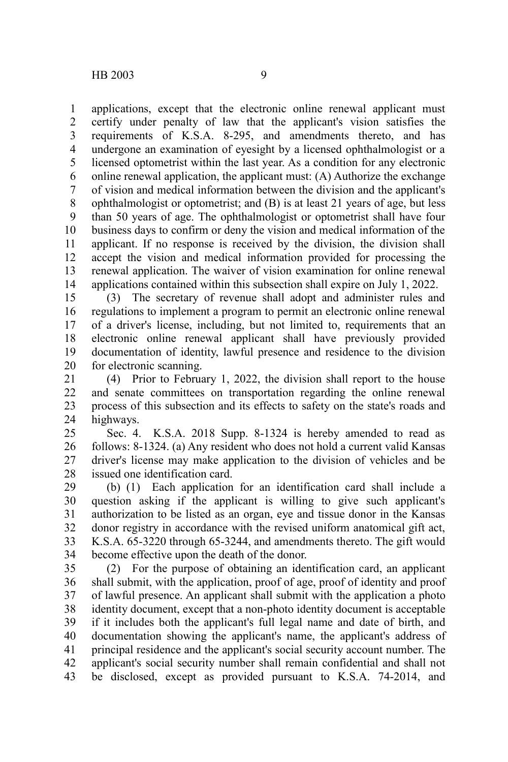applications, except that the electronic online renewal applicant must certify under penalty of law that the applicant's vision satisfies the requirements of K.S.A. 8-295, and amendments thereto, and has undergone an examination of eyesight by a licensed ophthalmologist or a licensed optometrist within the last year. As a condition for any electronic online renewal application, the applicant must: (A) Authorize the exchange of vision and medical information between the division and the applicant's ophthalmologist or optometrist; and (B) is at least 21 years of age, but less than 50 years of age. The ophthalmologist or optometrist shall have four business days to confirm or deny the vision and medical information of the applicant. If no response is received by the division, the division shall accept the vision and medical information provided for processing the renewal application. The waiver of vision examination for online renewal applications contained within this subsection shall expire on July 1, 2022. 1 2 3 4 5 6 7 8 9 10 11 12 13 14

(3) The secretary of revenue shall adopt and administer rules and regulations to implement a program to permit an electronic online renewal of a driver's license, including, but not limited to, requirements that an electronic online renewal applicant shall have previously provided documentation of identity, lawful presence and residence to the division for electronic scanning. 15 16 17 18 19 20

(4) Prior to February 1, 2022, the division shall report to the house and senate committees on transportation regarding the online renewal process of this subsection and its effects to safety on the state's roads and highways. 21 22 23 24

Sec. 4. K.S.A. 2018 Supp. 8-1324 is hereby amended to read as follows: 8-1324. (a) Any resident who does not hold a current valid Kansas driver's license may make application to the division of vehicles and be issued one identification card. 25 26 27 28

(b) (1) Each application for an identification card shall include a question asking if the applicant is willing to give such applicant's authorization to be listed as an organ, eye and tissue donor in the Kansas donor registry in accordance with the revised uniform anatomical gift act, K.S.A. 65-3220 through 65-3244, and amendments thereto. The gift would become effective upon the death of the donor. 29 30 31 32 33 34

(2) For the purpose of obtaining an identification card, an applicant shall submit, with the application, proof of age, proof of identity and proof of lawful presence. An applicant shall submit with the application a photo identity document, except that a non-photo identity document is acceptable if it includes both the applicant's full legal name and date of birth, and documentation showing the applicant's name, the applicant's address of principal residence and the applicant's social security account number. The applicant's social security number shall remain confidential and shall not be disclosed, except as provided pursuant to K.S.A. 74-2014, and 35 36 37 38 39 40 41 42 43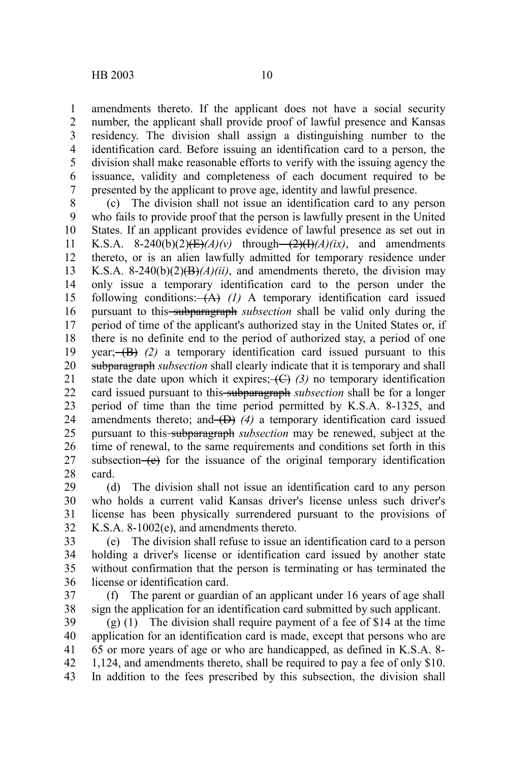amendments thereto. If the applicant does not have a social security number, the applicant shall provide proof of lawful presence and Kansas residency. The division shall assign a distinguishing number to the identification card. Before issuing an identification card to a person, the division shall make reasonable efforts to verify with the issuing agency the issuance, validity and completeness of each document required to be

presented by the applicant to prove age, identity and lawful presence. (c) The division shall not issue an identification card to any person who fails to provide proof that the person is lawfully present in the United States. If an applicant provides evidence of lawful presence as set out in K.S.A. 8-240(b)(2) $(E)/A$ / $(v)$  through- $\frac{2}{H}/A$ / $(ix)$ , and amendments thereto, or is an alien lawfully admitted for temporary residence under K.S.A. 8-240(b)(2) $\left(\frac{B}{A}\right)$ *(ii)*, and amendments thereto, the division may only issue a temporary identification card to the person under the following conditions: (A) *(1)* A temporary identification card issued pursuant to this<del> subparagraph</del> *subsection* shall be valid only during the period of time of the applicant's authorized stay in the United States or, if there is no definite end to the period of authorized stay, a period of one year; $(\overrightarrow{B})$  (2) a temporary identification card issued pursuant to this subparagraph *subsection* shall clearly indicate that it is temporary and shall state the date upon which it expires;  $\left(\frac{C}{d}\right)$  (3) no temporary identification card issued pursuant to this subparagraph *subsection* shall be for a longer period of time than the time period permitted by K.S.A. 8-1325, and amendments thereto; and  $(D)$  (4) a temporary identification card issued pursuant to this subparagraph *subsection* may be renewed, subject at the time of renewal, to the same requirements and conditions set forth in this subsection  $(e)$  for the issuance of the original temporary identification card. 8 9 10 11 12 13 14 15 16 17 18 19 20 21 22 23 24 25 26 27 28

(d) The division shall not issue an identification card to any person who holds a current valid Kansas driver's license unless such driver's license has been physically surrendered pursuant to the provisions of K.S.A. 8-1002(e), and amendments thereto. 29 30 31 32

(e) The division shall refuse to issue an identification card to a person holding a driver's license or identification card issued by another state without confirmation that the person is terminating or has terminated the license or identification card. 33 34 35 36

(f) The parent or guardian of an applicant under 16 years of age shall sign the application for an identification card submitted by such applicant. 37 38

(g) (1) The division shall require payment of a fee of \$14 at the time application for an identification card is made, except that persons who are 65 or more years of age or who are handicapped, as defined in K.S.A. 8- 1,124, and amendments thereto, shall be required to pay a fee of only \$10. In addition to the fees prescribed by this subsection, the division shall 39 40 41 42 43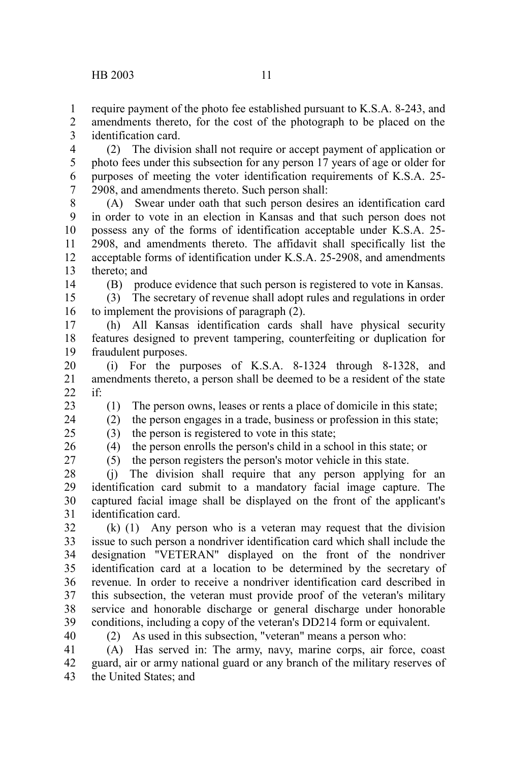require payment of the photo fee established pursuant to K.S.A. 8-243, and amendments thereto, for the cost of the photograph to be placed on the identification card. 1 2 3

(2) The division shall not require or accept payment of application or photo fees under this subsection for any person 17 years of age or older for purposes of meeting the voter identification requirements of K.S.A. 25- 2908, and amendments thereto. Such person shall: 4 5 6 7

(A) Swear under oath that such person desires an identification card in order to vote in an election in Kansas and that such person does not possess any of the forms of identification acceptable under K.S.A. 25- 2908, and amendments thereto. The affidavit shall specifically list the acceptable forms of identification under K.S.A. 25-2908, and amendments thereto; and 8 9 10 11 12 13

14

(B) produce evidence that such person is registered to vote in Kansas.

(3) The secretary of revenue shall adopt rules and regulations in order to implement the provisions of paragraph (2). 15 16

(h) All Kansas identification cards shall have physical security features designed to prevent tampering, counterfeiting or duplication for fraudulent purposes. 17 18 19

(i) For the purposes of K.S.A. 8-1324 through 8-1328, and amendments thereto, a person shall be deemed to be a resident of the state if: 20 21  $22$ 

23

(1) The person owns, leases or rents a place of domicile in this state;

(2) the person engages in a trade, business or profession in this state; 24

(3) the person is registered to vote in this state; 25

26 27 (4) the person enrolls the person's child in a school in this state; or (5) the person registers the person's motor vehicle in this state.

(j) The division shall require that any person applying for an identification card submit to a mandatory facial image capture. The captured facial image shall be displayed on the front of the applicant's identification card. 28 29 30 31

(k) (1) Any person who is a veteran may request that the division issue to such person a nondriver identification card which shall include the designation "VETERAN" displayed on the front of the nondriver identification card at a location to be determined by the secretary of revenue. In order to receive a nondriver identification card described in this subsection, the veteran must provide proof of the veteran's military service and honorable discharge or general discharge under honorable conditions, including a copy of the veteran's DD214 form or equivalent. 32 33 34 35 36 37 38 39

40

(2) As used in this subsection, "veteran" means a person who:

(A) Has served in: The army, navy, marine corps, air force, coast guard, air or army national guard or any branch of the military reserves of the United States; and 41 42 43